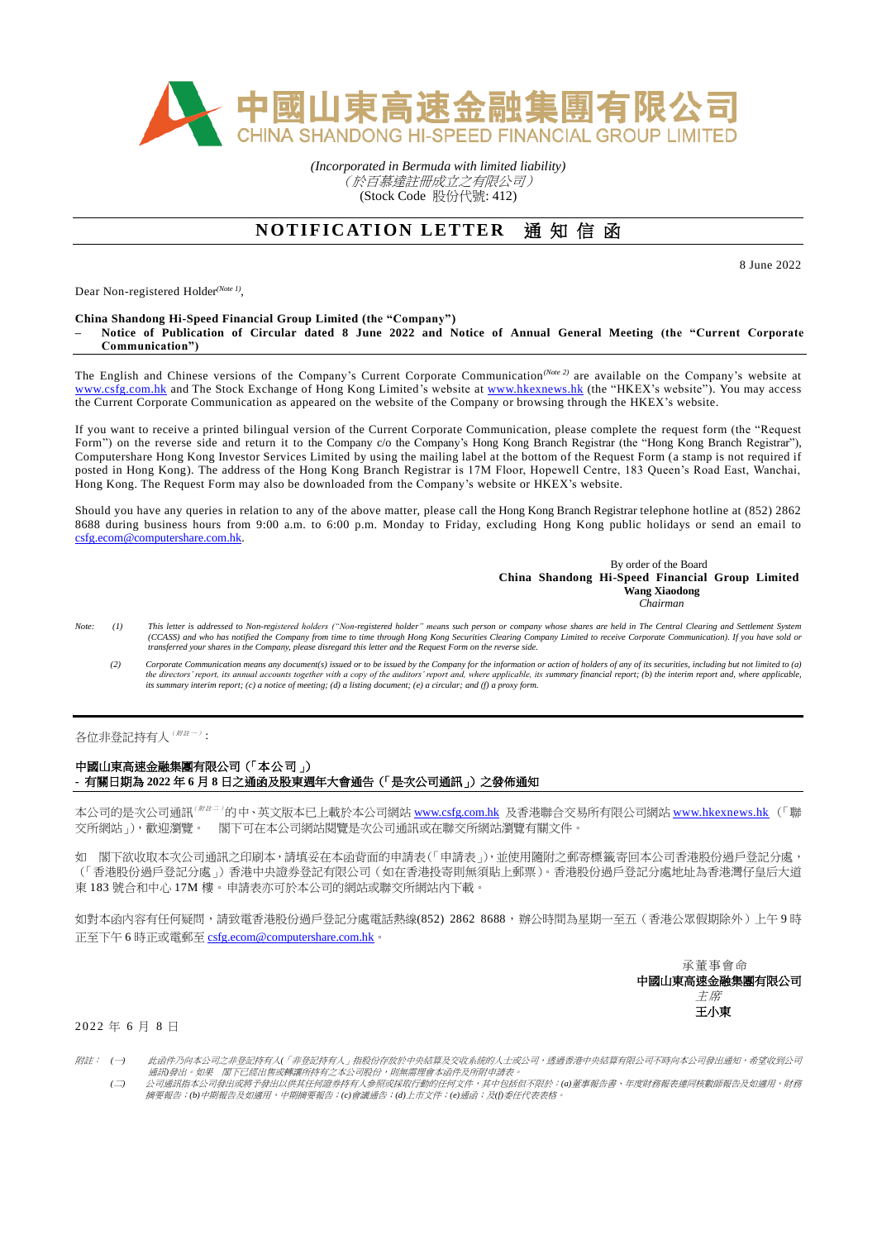

*(Incorporated in Bermuda with limited liability)* (於百慕達註冊成立之有限公司) (Stock Code 股份代號: 412)

# **NOTIFICATION LETTER 通知信函**

8 June 2022

Dear Non-registered Holder*(Note 1)* ,

### **China Shandong Hi-Speed Financial Group Limited (the "Company")**

**– Notice of Publication of Circular dated 8 June 2022 and Notice of Annual General Meeting (the "Current Corporate Communication")**

The English and Chinese versions of the Company's Current Corporate Communication*(Note 2)* are available on the Company's website at [www.csfg.com.hk](http://www.csfg.com.hk/) and The Stock Exchange of Hong Kong Limited's website at [www.hkexnews.hk](http://www.hkexnews.hk/) (the "HKEX's website"). You may access the Current Corporate Communication as appeared on the website of the Company or browsing through the HKEX's website.

If you want to receive a printed bilingual version of the Current Corporate Communication, please complete the request form (the "Request Form") on the reverse side and return it to the Company c/o the Company's Hong Kong Branch Registrar (the "Hong Kong Branch Registrar"), Computershare Hong Kong Investor Services Limited by using the mailing label at the bottom of the Request Form (a stamp is not required if posted in Hong Kong). The address of the Hong Kong Branch Registrar is 17M Floor, Hopewell Centre, 183 Queen's Road East, Wanchai, Hong Kong. The Request Form may also be downloaded from the Company's website or HKEX's website.

Should you have any queries in relation to any of the above matter, please call the Hong Kong Branch Registrar telephone hotline at (852) 2862 8688 during business hours from 9:00 a.m. to 6:00 p.m. Monday to Friday, excluding Hong Kong public holidays or send an email to [csfg.ecom@computershare.com.hk.](mailto:csfg.ecom@computershare.com.hk)

#### By order of the Board **China Shandong Hi-Speed Financial Group Limited Wang Xiaodong**  *Chairman*

- Note: (1) This letter is addressed to Non-registered holders ("Non-registered holder" means such person or company whose shares are held in The Central Clearing and Settlement System *(CCASS) and who has notified the Company from time to time through Hong Kong Securities Clearing Company Limited to receive Corporate Communication). If you have sold or transferred your shares in the Company, please disregard this letter and the Request Form on the reverse side.*
	- (2) Corporate Communication means any document(s) issued or to be issued by the Company for the information or action of holders of any of its securities, including but not limited to (a)<br>the directors' report, its amual a

## 各位非登記持有人 ( <sup>/ 附註 --</sup> ) :

## 中國山東高速金融集團有限公司(「本公司」) **-** 有關日期為 **2022** 年 **6** 月 **8** 日之通函及股東週年大會通告(「是次公司通訊」)之發佈通知

本公司的是次公司通訊<sup>(##=)</sup>的中、英文版本已上載於本公司網站 <u>[www.csfg.com.hk](http://www.csfg.com.hk/)</u> 及香港聯合交易所有限公司網站 <u>[www.hkexnews.hk](http://www.hkexnews.hk/)</u> (「聯 交所網站」),歡迎瀏覽。 閣下可在本公司網站閱覽是次公司通訊或在聯交所網站瀏覽有關文件。

如 閣下欲收取本次公司通訊之印刷本,請填妥在本函背面的申請表(「申請表」),並使用隨附之郵寄標籤寄回本公司香港股份過戶登記分處, (「香港股份過戶登記分處」)香港中央證券登記有限公司(如在香港投寄則無須貼上郵票)。香港股份過戶登記分處地址為香港灣仔皇后大道 東 183 號合和中心 17M 樓。申請表亦可於本公司的網站或聯交所網站內下載。

如對本函內容有任何疑問,請致電香港股份過戶登記分處電話熱線(852) 2862 8688,辦公時間為星期一至五(香港公眾假期除外)上午9時 正至下午 6 時正或電郵至 [csfg.ecom@computershare.com.hk](mailto:csfg.ecom@computershare.com.hk)。

> 承董事會命 中國山東高速金融集團有限公司 主席 王小東

2 0 2 2 年 6 月 8 日

- 附註: *(*一*)* 此函件乃向本公司之非登記持有人*(*「非登記持有人」指股份存放於中央結算及交收系統的人士或公司,透過香港中央結算有限公司不時向本公司發出通知,希望收到公司 通訊*)*發出。如果 閣下已經出售或轉讓所持有之本公司股份,則無需理會本函件及所附申請表。 *(*二*)* 公司通訊指本公司發出或將予發出以供其任何證券持有人參照或採取行動的任何文件,其中包括但不限於:*(a)*董事報告書、年度財務報表連同核數師報告及如適用,財務
	- 摘要報告;*(b)*中期報告及如適用,中期摘要報告;*(c)*會議通告;*(d)*上市文件;*(e)*通函;及*(f)*委任代表表格。